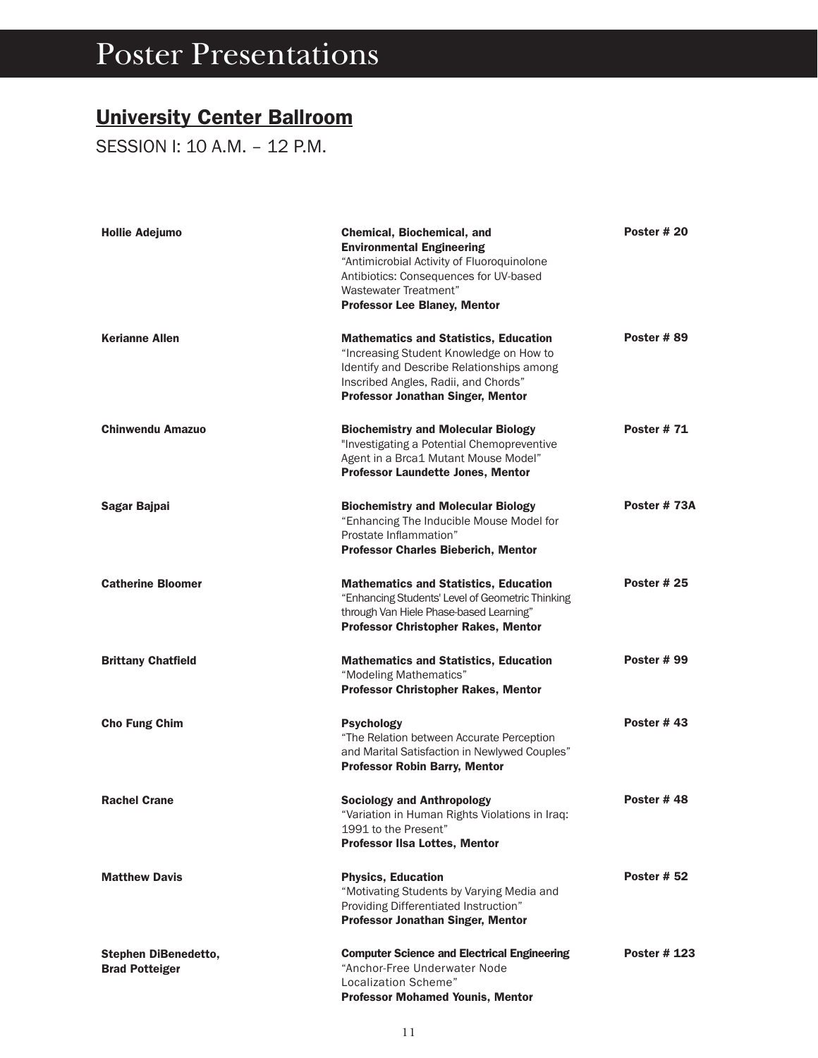#### University Center Ballroom

SESSION I: 10 A.M. – 12 P.M.

| <b>Hollie Adejumo</b>                                | Chemical, Biochemical, and<br><b>Environmental Engineering</b><br>"Antimicrobial Activity of Fluoroquinolone<br>Antibiotics: Consequences for UV-based<br>Wastewater Treatment"<br><b>Professor Lee Blaney, Mentor</b>   | Poster #20         |
|------------------------------------------------------|--------------------------------------------------------------------------------------------------------------------------------------------------------------------------------------------------------------------------|--------------------|
| <b>Kerianne Allen</b>                                | <b>Mathematics and Statistics, Education</b><br>"Increasing Student Knowledge on How to<br>Identify and Describe Relationships among<br>Inscribed Angles, Radii, and Chords"<br><b>Professor Jonathan Singer, Mentor</b> | Poster #89         |
| <b>Chinwendu Amazuo</b>                              | <b>Biochemistry and Molecular Biology</b><br>"Investigating a Potential Chemopreventive<br>Agent in a Brca1 Mutant Mouse Model"<br><b>Professor Laundette Jones, Mentor</b>                                              | <b>Poster #71</b>  |
| Sagar Bajpai                                         | <b>Biochemistry and Molecular Biology</b><br>"Enhancing The Inducible Mouse Model for<br>Prostate Inflammation"<br><b>Professor Charles Bieberich, Mentor</b>                                                            | Poster #73A        |
| <b>Catherine Bloomer</b>                             | <b>Mathematics and Statistics, Education</b><br>"Enhancing Students' Level of Geometric Thinking<br>through Van Hiele Phase-based Learning"<br><b>Professor Christopher Rakes, Mentor</b>                                | <b>Poster #25</b>  |
| <b>Brittany Chatfield</b>                            | <b>Mathematics and Statistics, Education</b><br>"Modeling Mathematics"<br><b>Professor Christopher Rakes, Mentor</b>                                                                                                     | <b>Poster #99</b>  |
| <b>Cho Fung Chim</b>                                 | <b>Psychology</b><br>"The Relation between Accurate Perception<br>and Marital Satisfaction in Newlywed Couples"<br><b>Professor Robin Barry, Mentor</b>                                                                  | Poster $#43$       |
| <b>Rachel Crane</b>                                  | <b>Sociology and Anthropology</b><br>"Variation in Human Rights Violations in Iraq:<br>1991 to the Present'<br><b>Professor IIsa Lottes, Mentor</b>                                                                      | Poster #48         |
| <b>Matthew Davis</b>                                 | <b>Physics, Education</b><br>"Motivating Students by Varying Media and<br>Providing Differentiated Instruction"<br>Professor Jonathan Singer, Mentor                                                                     | <b>Poster # 52</b> |
| <b>Stephen DiBenedetto,</b><br><b>Brad Potteiger</b> | <b>Computer Science and Electrical Engineering</b><br>"Anchor-Free Underwater Node<br>Localization Scheme"<br><b>Professor Mohamed Younis, Mentor</b>                                                                    | <b>Poster #123</b> |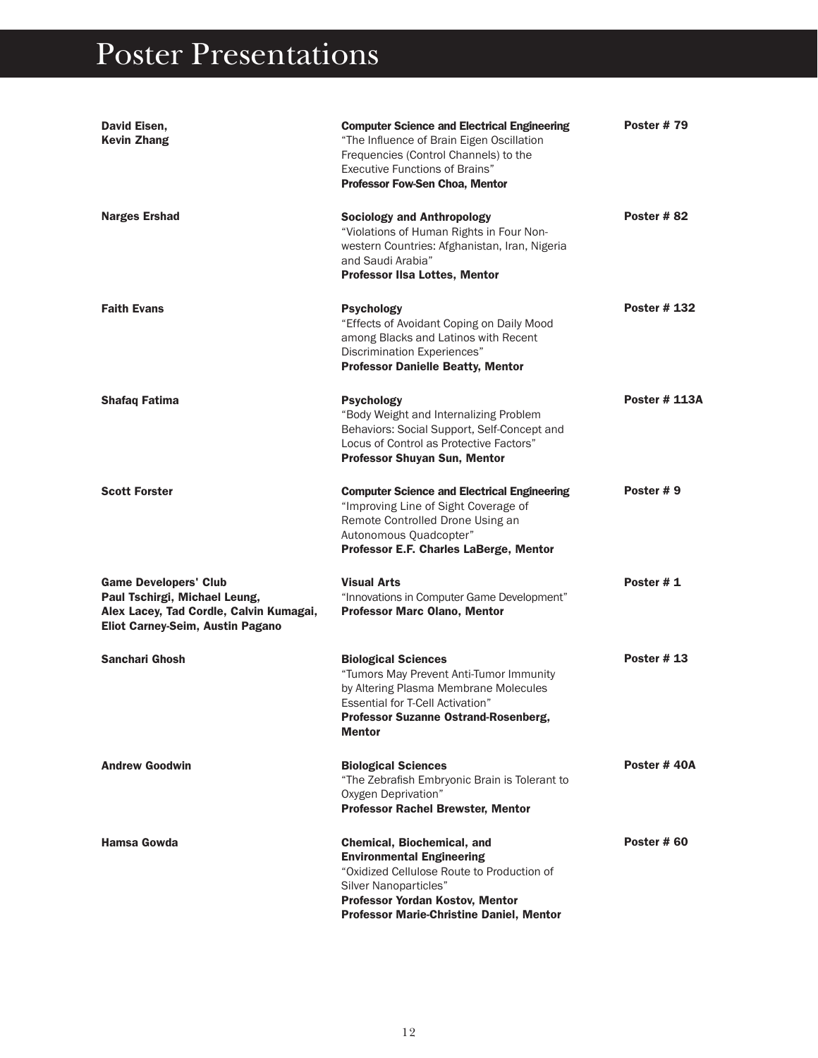| David Eisen,<br><b>Kevin Zhang</b>                                                                                                           | <b>Computer Science and Electrical Engineering</b><br>"The Influence of Brain Eigen Oscillation<br>Frequencies (Control Channels) to the<br><b>Executive Functions of Brains"</b><br><b>Professor Fow-Sen Choa, Mentor</b> | <b>Poster #79</b>    |
|----------------------------------------------------------------------------------------------------------------------------------------------|----------------------------------------------------------------------------------------------------------------------------------------------------------------------------------------------------------------------------|----------------------|
| <b>Narges Ershad</b>                                                                                                                         | <b>Sociology and Anthropology</b><br>"Violations of Human Rights in Four Non-<br>western Countries: Afghanistan, Iran, Nigeria<br>and Saudi Arabia"<br><b>Professor IIsa Lottes, Mentor</b>                                | Poster #82           |
| <b>Faith Evans</b>                                                                                                                           | <b>Psychology</b><br>"Effects of Avoidant Coping on Daily Mood<br>among Blacks and Latinos with Recent<br>Discrimination Experiences"<br><b>Professor Danielle Beatty, Mentor</b>                                          | <b>Poster #132</b>   |
| <b>Shafaq Fatima</b>                                                                                                                         | <b>Psychology</b><br>"Body Weight and Internalizing Problem<br>Behaviors: Social Support, Self-Concept and<br>Locus of Control as Protective Factors"<br><b>Professor Shuyan Sun, Mentor</b>                               | <b>Poster # 113A</b> |
| <b>Scott Forster</b>                                                                                                                         | <b>Computer Science and Electrical Engineering</b><br>"Improving Line of Sight Coverage of<br>Remote Controlled Drone Using an<br>Autonomous Quadcopter"<br>Professor E.F. Charles LaBerge, Mentor                         | Poster #9            |
| <b>Game Developers' Club</b><br>Paul Tschirgi, Michael Leung,<br>Alex Lacey, Tad Cordle, Calvin Kumagai,<br>Eliot Carney-Seim, Austin Pagano | <b>Visual Arts</b><br>"Innovations in Computer Game Development"<br><b>Professor Marc Olano, Mentor</b>                                                                                                                    | Poster #1            |
| <b>Sanchari Ghosh</b>                                                                                                                        | <b>Biological Sciences</b><br>"Tumors May Prevent Anti-Tumor Immunity<br>by Altering Plasma Membrane Molecules<br><b>Essential for T-Cell Activation"</b><br>Professor Suzanne Ostrand-Rosenberg,<br><b>Mentor</b>         | <b>Poster #13</b>    |
| <b>Andrew Goodwin</b>                                                                                                                        | <b>Biological Sciences</b><br>"The Zebrafish Embryonic Brain is Tolerant to<br>Oxygen Deprivation"<br><b>Professor Rachel Brewster, Mentor</b>                                                                             | Poster #40A          |
| <b>Hamsa Gowda</b>                                                                                                                           | Chemical, Biochemical, and<br><b>Environmental Engineering</b><br>"Oxidized Cellulose Route to Production of<br>Silver Nanoparticles"<br>Professor Yordan Kostov, Mentor<br>Professor Marie-Christine Daniel, Mentor       | Poster # 60          |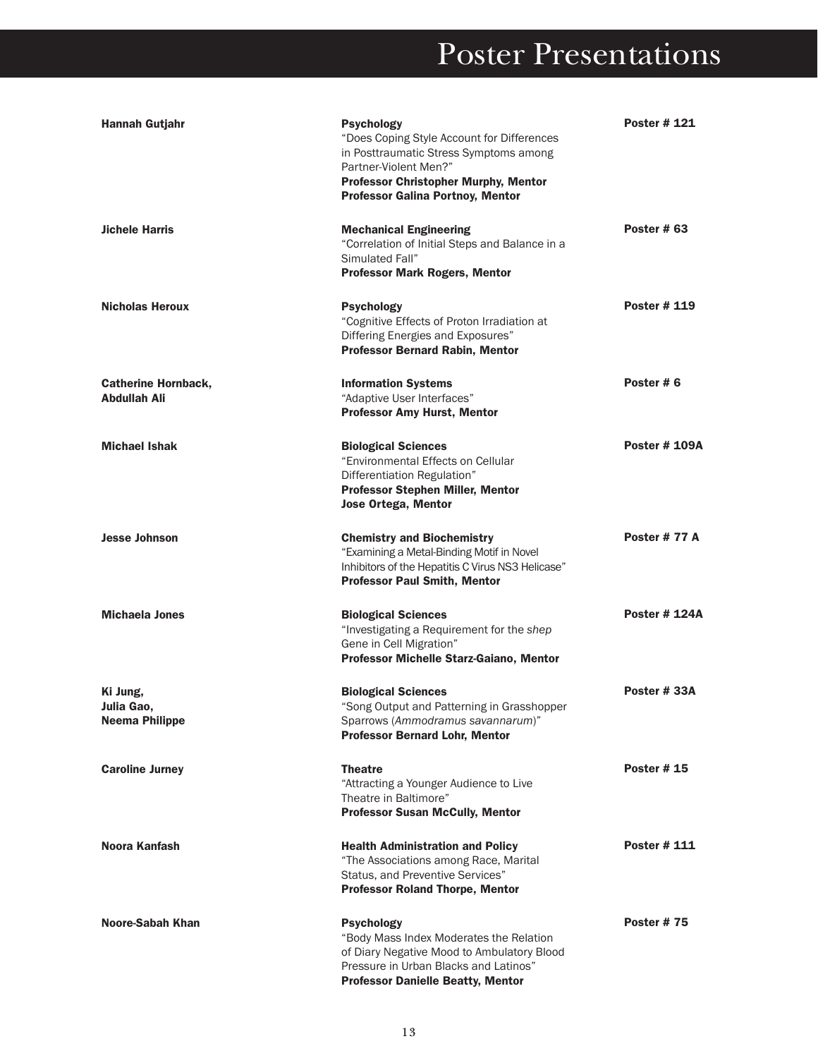| <b>Hannah Gutjahr</b>                           | <b>Psychology</b><br>"Does Coping Style Account for Differences<br>in Posttraumatic Stress Symptoms among<br>Partner-Violent Men?"<br><b>Professor Christopher Murphy, Mentor</b><br><b>Professor Galina Portnoy, Mentor</b> | <b>Poster #121</b>   |
|-------------------------------------------------|------------------------------------------------------------------------------------------------------------------------------------------------------------------------------------------------------------------------------|----------------------|
| <b>Jichele Harris</b>                           | <b>Mechanical Engineering</b><br>"Correlation of Initial Steps and Balance in a<br>Simulated Fall"<br><b>Professor Mark Rogers, Mentor</b>                                                                                   | Poster # 63          |
| <b>Nicholas Heroux</b>                          | <b>Psychology</b><br>"Cognitive Effects of Proton Irradiation at<br>Differing Energies and Exposures"<br><b>Professor Bernard Rabin, Mentor</b>                                                                              | <b>Poster #119</b>   |
| <b>Catherine Hornback,</b><br>Abdullah Ali      | <b>Information Systems</b><br>"Adaptive User Interfaces"<br><b>Professor Amy Hurst, Mentor</b>                                                                                                                               | Poster #6            |
| <b>Michael Ishak</b>                            | <b>Biological Sciences</b><br>"Environmental Effects on Cellular<br>Differentiation Regulation"<br><b>Professor Stephen Miller, Mentor</b><br><b>Jose Ortega, Mentor</b>                                                     | <b>Poster # 109A</b> |
| <b>Jesse Johnson</b>                            | <b>Chemistry and Biochemistry</b><br>"Examining a Metal-Binding Motif in Novel<br>Inhibitors of the Hepatitis C Virus NS3 Helicase"<br><b>Professor Paul Smith, Mentor</b>                                                   | Poster #77 A         |
| <b>Michaela Jones</b>                           | <b>Biological Sciences</b><br>"Investigating a Requirement for the shep<br>Gene in Cell Migration"<br>Professor Michelle Starz-Gaiano, Mentor                                                                                | <b>Poster # 124A</b> |
| Ki Jung,<br>Julia Gao,<br><b>Neema Philippe</b> | <b>Biological Sciences</b><br>"Song Output and Patterning in Grasshopper<br>Sparrows (Ammodramus savannarum)"<br><b>Professor Bernard Lohr, Mentor</b>                                                                       | Poster # 33A         |
| <b>Caroline Jurney</b>                          | <b>Theatre</b><br>"Attracting a Younger Audience to Live<br>Theatre in Baltimore"<br><b>Professor Susan McCully, Mentor</b>                                                                                                  | <b>Poster #15</b>    |
| Noora Kanfash                                   | <b>Health Administration and Policy</b><br>"The Associations among Race, Marital<br>Status, and Preventive Services"<br><b>Professor Roland Thorpe, Mentor</b>                                                               | <b>Poster # 111</b>  |
| Noore-Sabah Khan                                | <b>Psychology</b><br>"Body Mass Index Moderates the Relation<br>of Diary Negative Mood to Ambulatory Blood<br>Pressure in Urban Blacks and Latinos"<br><b>Professor Danielle Beatty, Mentor</b>                              | <b>Poster #75</b>    |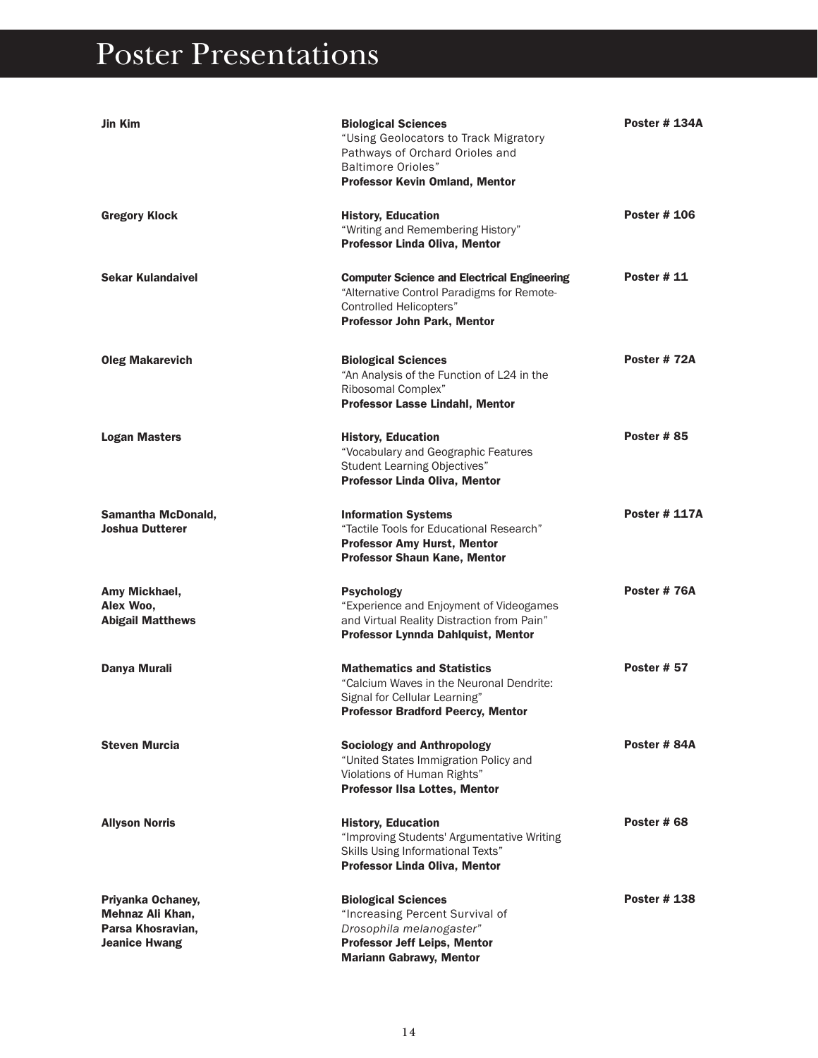| Jin Kim                                                                            | <b>Biological Sciences</b><br>"Using Geolocators to Track Migratory<br>Pathways of Orchard Orioles and<br><b>Baltimore Orioles"</b><br>Professor Kevin Omland, Mentor    | <b>Poster # 134A</b> |
|------------------------------------------------------------------------------------|--------------------------------------------------------------------------------------------------------------------------------------------------------------------------|----------------------|
| <b>Gregory Klock</b>                                                               | <b>History, Education</b><br>"Writing and Remembering History"<br>Professor Linda Oliva, Mentor                                                                          | <b>Poster # 106</b>  |
| <b>Sekar Kulandaivel</b>                                                           | <b>Computer Science and Electrical Engineering</b><br>"Alternative Control Paradigms for Remote-<br><b>Controlled Helicopters"</b><br><b>Professor John Park, Mentor</b> | <b>Poster #11</b>    |
| <b>Oleg Makarevich</b>                                                             | <b>Biological Sciences</b><br>"An Analysis of the Function of L24 in the<br>Ribosomal Complex"<br><b>Professor Lasse Lindahl, Mentor</b>                                 | Poster #72A          |
| <b>Logan Masters</b>                                                               | <b>History, Education</b><br>"Vocabulary and Geographic Features<br>Student Learning Objectives"<br>Professor Linda Oliva, Mentor                                        | <b>Poster #85</b>    |
| <b>Samantha McDonald,</b><br>Joshua Dutterer                                       | <b>Information Systems</b><br>"Tactile Tools for Educational Research"<br><b>Professor Amy Hurst, Mentor</b><br><b>Professor Shaun Kane, Mentor</b>                      | <b>Poster # 117A</b> |
| Amy Mickhael,<br>Alex Woo,<br><b>Abigail Matthews</b>                              | <b>Psychology</b><br>"Experience and Enjoyment of Videogames<br>and Virtual Reality Distraction from Pain"<br>Professor Lynnda Dahlquist, Mentor                         | Poster #76A          |
| Danya Murali                                                                       | <b>Mathematics and Statistics</b><br>"Calcium Waves in the Neuronal Dendrite:<br>Signal for Cellular Learning"<br><b>Professor Bradford Peercy, Mentor</b>               | <b>Poster # 57</b>   |
| <b>Steven Murcia</b>                                                               | <b>Sociology and Anthropology</b><br>"United States Immigration Policy and<br>Violations of Human Rights"<br><b>Professor IIsa Lottes, Mentor</b>                        | Poster #84A          |
| <b>Allyson Norris</b>                                                              | <b>History, Education</b><br>"Improving Students' Argumentative Writing<br>Skills Using Informational Texts"<br>Professor Linda Oliva, Mentor                            | Poster #68           |
| Priyanka Ochaney,<br>Mehnaz Ali Khan,<br>Parsa Khosravian,<br><b>Jeanice Hwang</b> | <b>Biological Sciences</b><br>"Increasing Percent Survival of<br>Drosophila melanogaster"<br><b>Professor Jeff Leips, Mentor</b><br><b>Mariann Gabrawy, Mentor</b>       | <b>Poster #138</b>   |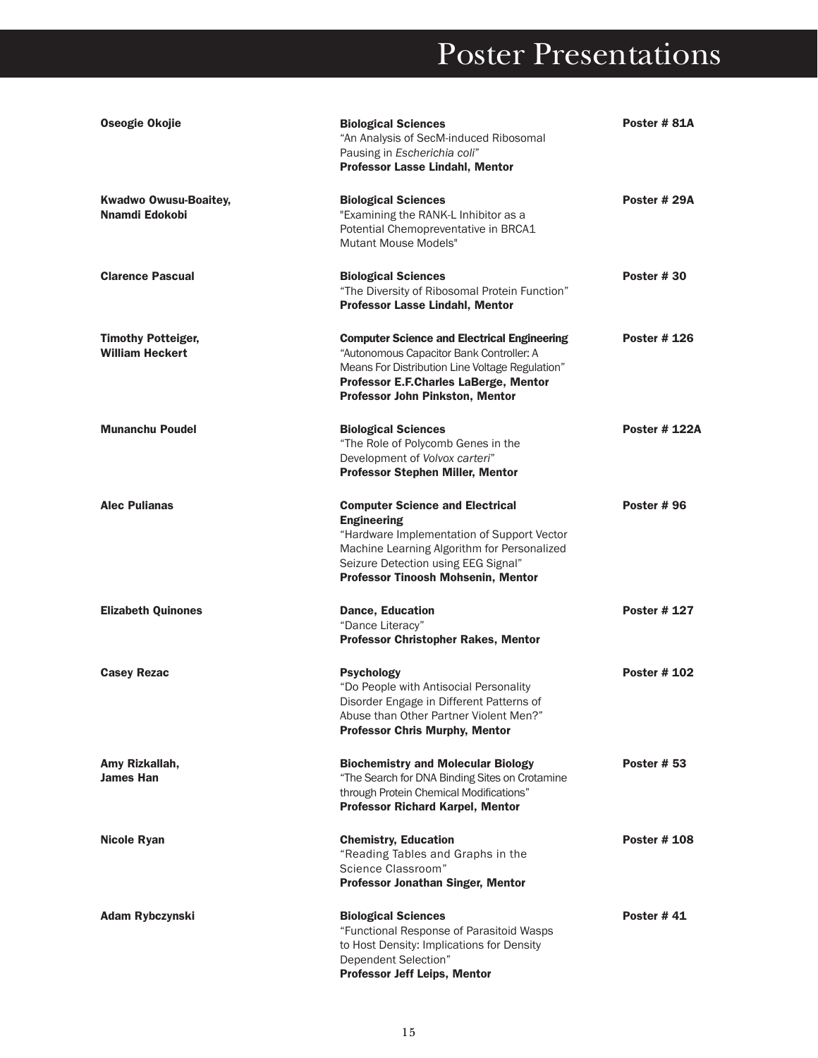| Oseogie Okojie                                      | <b>Biological Sciences</b><br>"An Analysis of SecM-induced Ribosomal<br>Pausing in Escherichia coli"<br><b>Professor Lasse Lindahl, Mentor</b>                                                                                         | Poster #81A          |
|-----------------------------------------------------|----------------------------------------------------------------------------------------------------------------------------------------------------------------------------------------------------------------------------------------|----------------------|
| <b>Kwadwo Owusu-Boaitey,</b><br>Nnamdi Edokobi      | <b>Biological Sciences</b><br>"Examining the RANK-L Inhibitor as a<br>Potential Chemopreventative in BRCA1<br>Mutant Mouse Models"                                                                                                     | Poster # 29A         |
| <b>Clarence Pascual</b>                             | <b>Biological Sciences</b><br>"The Diversity of Ribosomal Protein Function"<br>Professor Lasse Lindahl, Mentor                                                                                                                         | <b>Poster #30</b>    |
| <b>Timothy Potteiger,</b><br><b>William Heckert</b> | <b>Computer Science and Electrical Engineering</b><br>"Autonomous Capacitor Bank Controller: A<br>Means For Distribution Line Voltage Regulation"<br>Professor E.F.Charles LaBerge, Mentor<br>Professor John Pinkston, Mentor          | <b>Poster # 126</b>  |
| <b>Munanchu Poudel</b>                              | <b>Biological Sciences</b><br>"The Role of Polycomb Genes in the<br>Development of Volvox carteri"<br><b>Professor Stephen Miller, Mentor</b>                                                                                          | <b>Poster # 122A</b> |
| <b>Alec Pulianas</b>                                | <b>Computer Science and Electrical</b><br><b>Engineering</b><br>"Hardware Implementation of Support Vector<br>Machine Learning Algorithm for Personalized<br>Seizure Detection using EEG Signal"<br>Professor Tinoosh Mohsenin, Mentor | <b>Poster #96</b>    |
| <b>Elizabeth Quinones</b>                           | <b>Dance, Education</b><br>"Dance Literacy"<br><b>Professor Christopher Rakes, Mentor</b>                                                                                                                                              | <b>Poster # 127</b>  |
| <b>Casey Rezac</b>                                  | <b>Psychology</b><br>"Do People with Antisocial Personality<br>Disorder Engage in Different Patterns of<br>Abuse than Other Partner Violent Men?<br><b>Professor Chris Murphy, Mentor</b>                                              | <b>Poster # 102</b>  |
| Amy Rizkallah,<br><b>James Han</b>                  | <b>Biochemistry and Molecular Biology</b><br>"The Search for DNA Binding Sites on Crotamine<br>through Protein Chemical Modifications"<br><b>Professor Richard Karpel, Mentor</b>                                                      | <b>Poster # 53</b>   |
| <b>Nicole Ryan</b>                                  | <b>Chemistry, Education</b><br>"Reading Tables and Graphs in the<br>Science Classroom"<br><b>Professor Jonathan Singer, Mentor</b>                                                                                                     | <b>Poster #108</b>   |
| <b>Adam Rybczynski</b>                              | <b>Biological Sciences</b><br>"Functional Response of Parasitoid Wasps<br>to Host Density: Implications for Density<br>Dependent Selection"<br><b>Professor Jeff Leips, Mentor</b>                                                     | <b>Poster #41</b>    |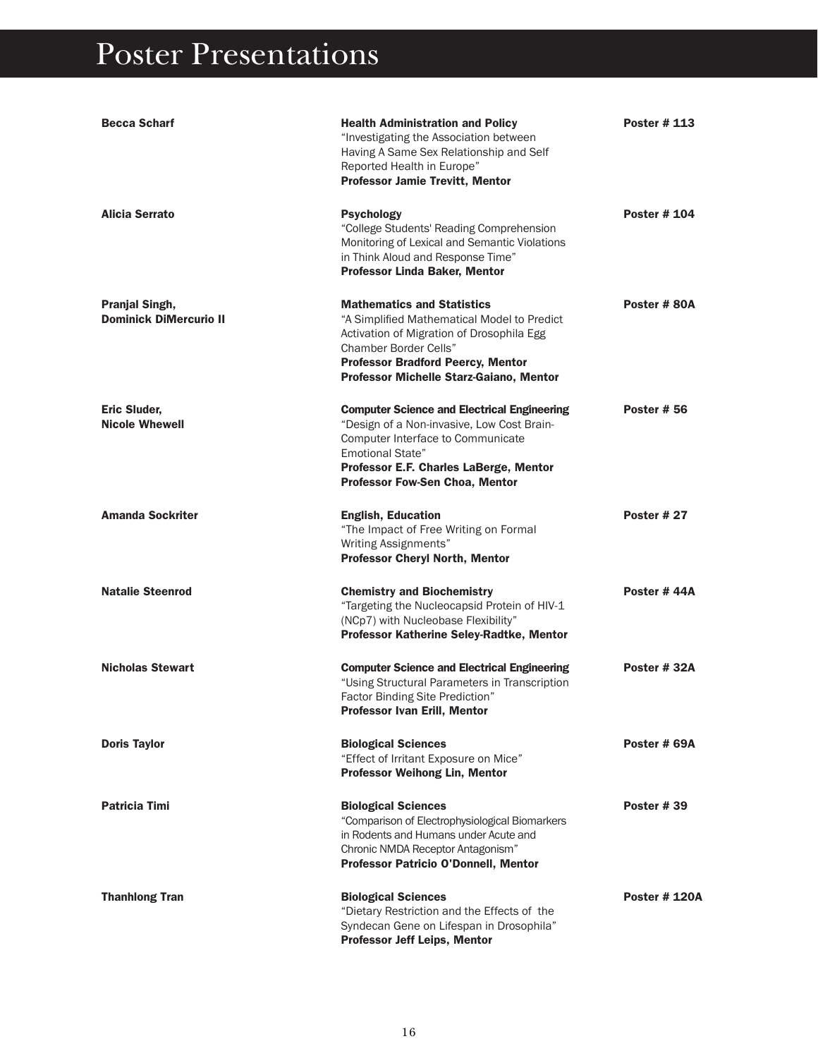| <b>Becca Scharf</b>                                    | <b>Health Administration and Policy</b><br>"Investigating the Association between<br>Having A Same Sex Relationship and Self<br>Reported Health in Europe"<br><b>Professor Jamie Trevitt, Mentor</b>                                                | <b>Poster #113</b>   |
|--------------------------------------------------------|-----------------------------------------------------------------------------------------------------------------------------------------------------------------------------------------------------------------------------------------------------|----------------------|
| Alicia Serrato                                         | <b>Psychology</b><br>"College Students' Reading Comprehension<br>Monitoring of Lexical and Semantic Violations<br>in Think Aloud and Response Time"<br>Professor Linda Baker, Mentor                                                                | <b>Poster # 104</b>  |
| <b>Pranjal Singh,</b><br><b>Dominick DiMercurio II</b> | <b>Mathematics and Statistics</b><br>"A Simplified Mathematical Model to Predict<br>Activation of Migration of Drosophila Egg<br>Chamber Border Cells"<br><b>Professor Bradford Peercy, Mentor</b><br>Professor Michelle Starz-Gaiano, Mentor       | Poster #80A          |
| <b>Eric Sluder,</b><br><b>Nicole Whewell</b>           | <b>Computer Science and Electrical Engineering</b><br>"Design of a Non-invasive, Low Cost Brain-<br>Computer Interface to Communicate<br><b>Emotional State"</b><br>Professor E.F. Charles LaBerge, Mentor<br><b>Professor Fow-Sen Choa, Mentor</b> | <b>Poster # 56</b>   |
| <b>Amanda Sockriter</b>                                | <b>English, Education</b><br>"The Impact of Free Writing on Formal<br>Writing Assignments"<br><b>Professor Cheryl North, Mentor</b>                                                                                                                 | <b>Poster # 27</b>   |
| <b>Natalie Steenrod</b>                                | <b>Chemistry and Biochemistry</b><br>"Targeting the Nucleocapsid Protein of HIV-1<br>(NCp7) with Nucleobase Flexibility"<br>Professor Katherine Seley-Radtke, Mentor                                                                                | Poster #44A          |
| <b>Nicholas Stewart</b>                                | <b>Computer Science and Electrical Engineering</b><br>"Using Structural Parameters in Transcription<br>Factor Binding Site Prediction"<br><b>Professor Ivan Erill, Mentor</b>                                                                       | Poster #32A          |
| <b>Doris Taylor</b>                                    | <b>Biological Sciences</b><br>"Effect of Irritant Exposure on Mice"<br><b>Professor Weihong Lin, Mentor</b>                                                                                                                                         | Poster # 69A         |
| <b>Patricia Timi</b>                                   | <b>Biological Sciences</b><br>"Comparison of Electrophysiological Biomarkers<br>in Rodents and Humans under Acute and<br>Chronic NMDA Receptor Antagonism"<br>Professor Patricio O'Donnell, Mentor                                                  | <b>Poster #39</b>    |
| <b>Thanhlong Tran</b>                                  | <b>Biological Sciences</b><br>"Dietary Restriction and the Effects of the<br>Syndecan Gene on Lifespan in Drosophila"<br><b>Professor Jeff Leips, Mentor</b>                                                                                        | <b>Poster # 120A</b> |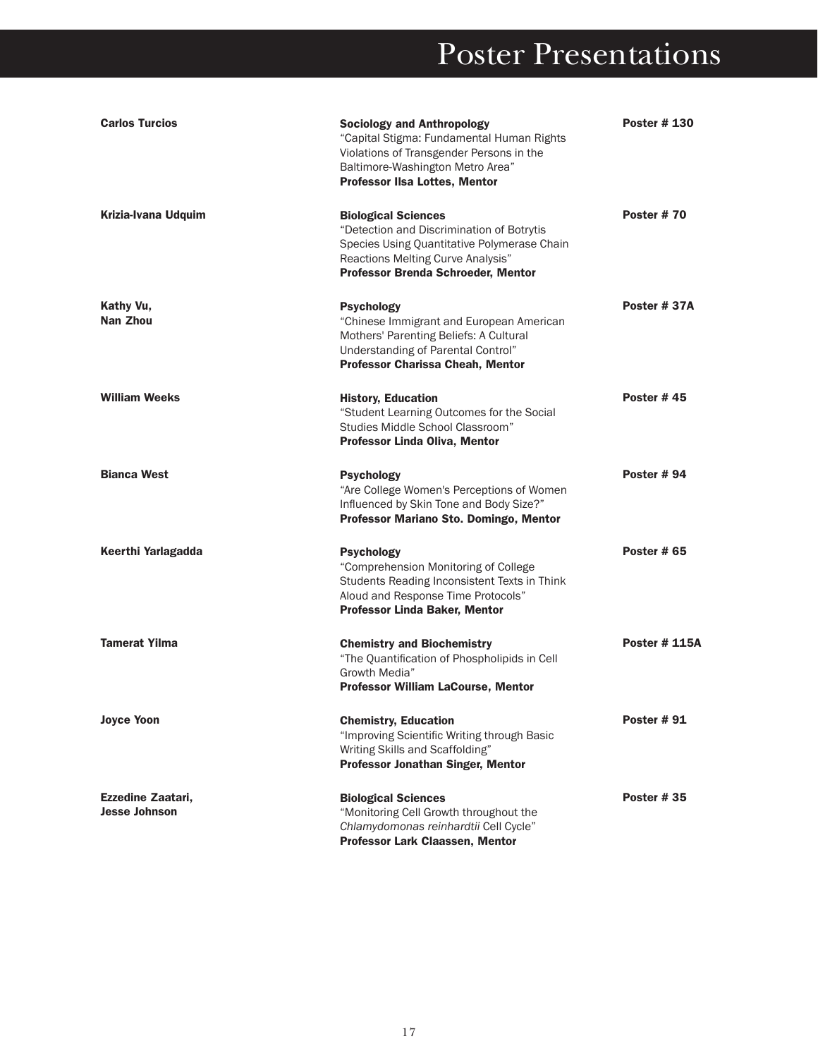| <b>Carlos Turcios</b>                     | <b>Sociology and Anthropology</b><br>"Capital Stigma: Fundamental Human Rights<br>Violations of Transgender Persons in the<br>Baltimore-Washington Metro Area"<br><b>Professor IIsa Lottes, Mentor</b> | <b>Poster # 130</b>  |
|-------------------------------------------|--------------------------------------------------------------------------------------------------------------------------------------------------------------------------------------------------------|----------------------|
| Krizia-Ivana Udquim                       | <b>Biological Sciences</b><br>"Detection and Discrimination of Botrytis<br>Species Using Quantitative Polymerase Chain<br>Reactions Melting Curve Analysis"<br>Professor Brenda Schroeder, Mentor      | <b>Poster #70</b>    |
| Kathy Vu,<br>Nan Zhou                     | <b>Psychology</b><br>"Chinese Immigrant and European American<br>Mothers' Parenting Beliefs: A Cultural<br>Understanding of Parental Control"<br><b>Professor Charissa Cheah, Mentor</b>               | Poster #37A          |
| <b>William Weeks</b>                      | <b>History, Education</b><br>"Student Learning Outcomes for the Social<br>Studies Middle School Classroom"<br><b>Professor Linda Oliva, Mentor</b>                                                     | <b>Poster #45</b>    |
| <b>Bianca West</b>                        | <b>Psychology</b><br>"Are College Women's Perceptions of Women<br>Influenced by Skin Tone and Body Size?"<br>Professor Mariano Sto. Domingo, Mentor                                                    | <b>Poster # 94</b>   |
| Keerthi Yarlagadda                        | <b>Psychology</b><br>"Comprehension Monitoring of College<br>Students Reading Inconsistent Texts in Think<br>Aloud and Response Time Protocols"<br><b>Professor Linda Baker, Mentor</b>                | <b>Poster # 65</b>   |
| <b>Tamerat Yilma</b>                      | <b>Chemistry and Biochemistry</b><br>"The Quantification of Phospholipids in Cell<br>Growth Media"<br><b>Professor William LaCourse, Mentor</b>                                                        | <b>Poster # 115A</b> |
| <b>Joyce Yoon</b>                         | <b>Chemistry, Education</b><br>"Improving Scientific Writing through Basic<br>Writing Skills and Scaffolding"<br>Professor Jonathan Singer, Mentor                                                     | <b>Poster #91</b>    |
| Ezzedine Zaatari,<br><b>Jesse Johnson</b> | <b>Biological Sciences</b><br>"Monitoring Cell Growth throughout the<br>Chlamydomonas reinhardtii Cell Cycle"<br>Professor Lark Claassen, Mentor                                                       | <b>Poster #35</b>    |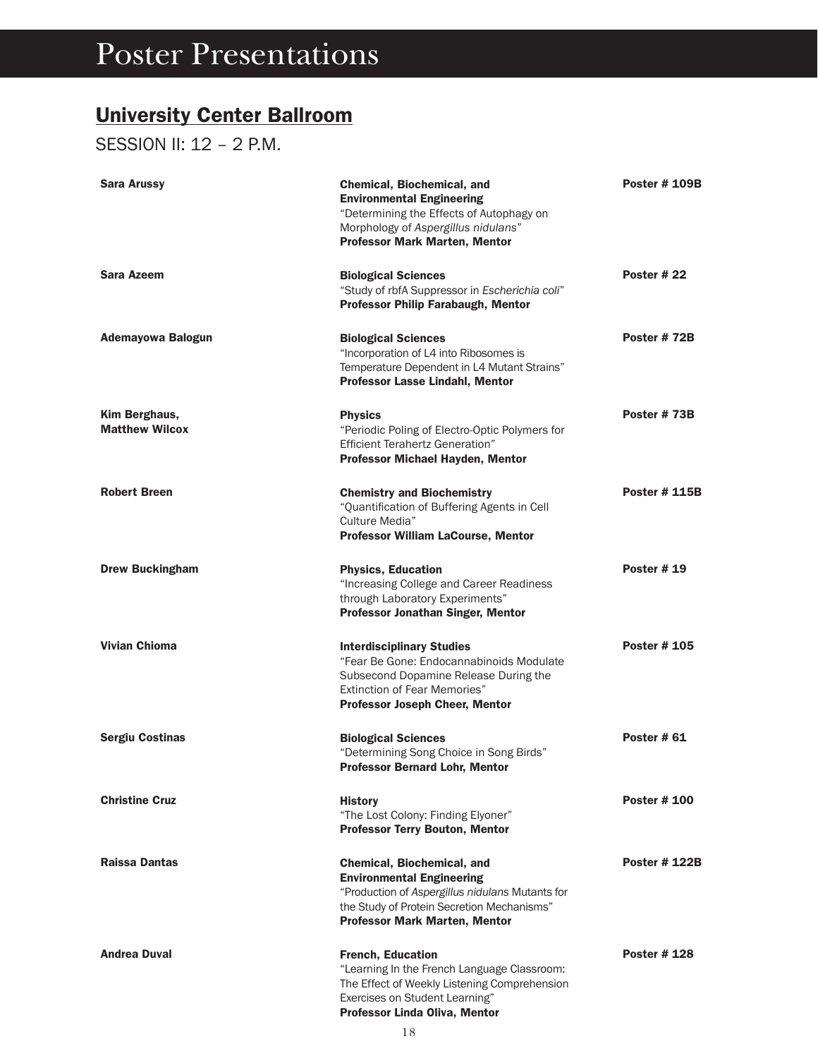#### University Center Ballroom

SESSION II: 12 – 2 P.M.

| Sara Arussy                            | Chemical, Biochemical, and<br><b>Environmental Engineering</b><br>"Determining the Effects of Autophagy on<br>Morphology of Aspergillus nidulans"<br><b>Professor Mark Marten, Mentor</b>                      | <b>Poster # 109B</b> |
|----------------------------------------|----------------------------------------------------------------------------------------------------------------------------------------------------------------------------------------------------------------|----------------------|
| Sara Azeem                             | <b>Biological Sciences</b><br>"Study of rbfA Suppressor in Escherichia coli"<br><b>Professor Philip Farabaugh, Mentor</b>                                                                                      | <b>Poster #22</b>    |
| Ademayowa Balogun                      | <b>Biological Sciences</b><br>"Incorporation of L4 into Ribosomes is<br>Temperature Dependent in L4 Mutant Strains"<br><b>Professor Lasse Lindahl, Mentor</b>                                                  | Poster #72B          |
| Kim Berghaus,<br><b>Matthew Wilcox</b> | <b>Physics</b><br>"Periodic Poling of Electro-Optic Polymers for<br><b>Efficient Terahertz Generation"</b><br>Professor Michael Hayden, Mentor                                                                 | Poster #73B          |
| <b>Robert Breen</b>                    | <b>Chemistry and Biochemistry</b><br>"Quantification of Buffering Agents in Cell<br>Culture Media"<br><b>Professor William LaCourse, Mentor</b>                                                                | <b>Poster # 115B</b> |
| <b>Drew Buckingham</b>                 | <b>Physics, Education</b><br>"Increasing College and Career Readiness<br>through Laboratory Experiments"<br><b>Professor Jonathan Singer, Mentor</b>                                                           | <b>Poster # 19</b>   |
| <b>Vivian Chioma</b>                   | <b>Interdisciplinary Studies</b><br>"Fear Be Gone: Endocannabinoids Modulate<br>Subsecond Dopamine Release During the<br>Extinction of Fear Memories"<br><b>Professor Joseph Cheer, Mentor</b>                 | <b>Poster #105</b>   |
| <b>Sergiu Costinas</b>                 | <b>Biological Sciences</b><br>"Determining Song Choice in Song Birds"<br><b>Professor Bernard Lohr, Mentor</b>                                                                                                 | <b>Poster # 61</b>   |
| <b>Christine Cruz</b>                  | <b>History</b><br>"The Lost Colony: Finding Elyoner"<br><b>Professor Terry Bouton, Mentor</b>                                                                                                                  | <b>Poster # 100</b>  |
| Raissa Dantas                          | <b>Chemical, Biochemical, and</b><br><b>Environmental Engineering</b><br>"Production of Aspergillus nidulans Mutants for<br>the Study of Protein Secretion Mechanisms"<br><b>Professor Mark Marten, Mentor</b> | <b>Poster # 122B</b> |
| <b>Andrea Duval</b>                    | <b>French, Education</b><br>"Learning In the French Language Classroom:<br>The Effect of Weekly Listening Comprehension<br>Exercises on Student Learning"<br>Professor Linda Oliva, Mentor                     | <b>Poster #128</b>   |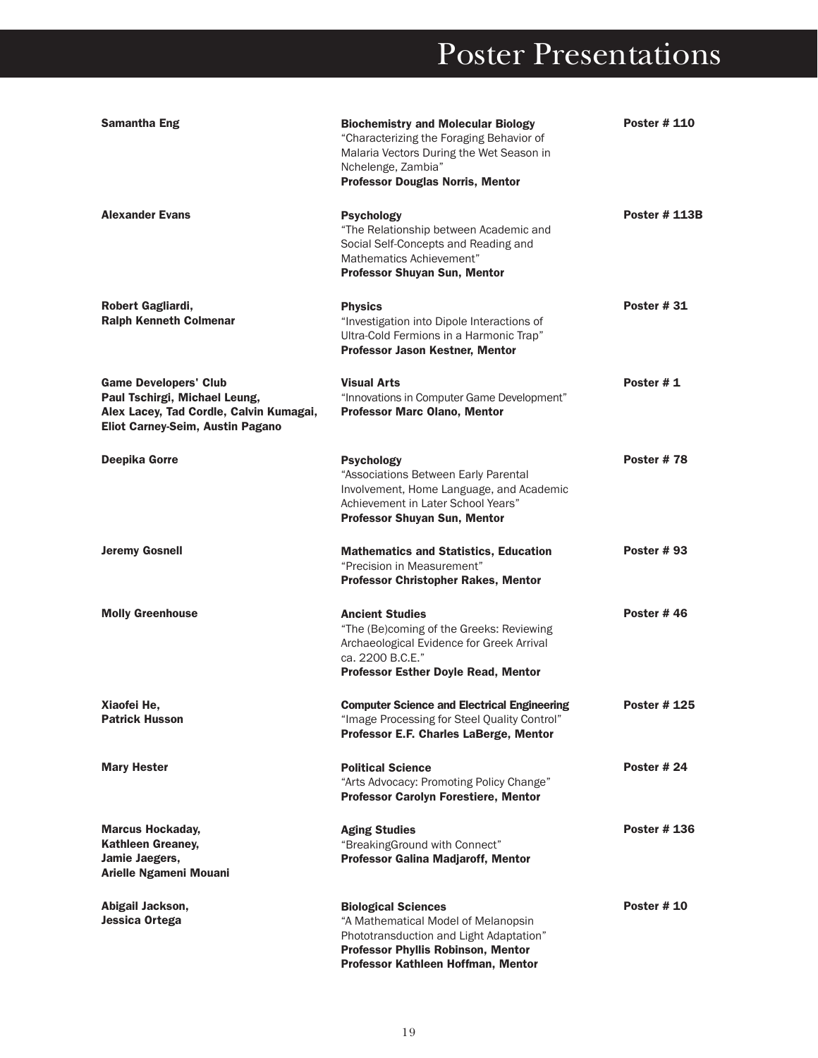| Samantha Eng                                                                                                                                 | <b>Biochemistry and Molecular Biology</b><br>"Characterizing the Foraging Behavior of<br>Malaria Vectors During the Wet Season in<br>Nchelenge, Zambia"<br><b>Professor Douglas Norris, Mentor</b> | <b>Poster # 110</b>  |
|----------------------------------------------------------------------------------------------------------------------------------------------|----------------------------------------------------------------------------------------------------------------------------------------------------------------------------------------------------|----------------------|
| <b>Alexander Evans</b>                                                                                                                       | <b>Psychology</b><br>"The Relationship between Academic and<br>Social Self-Concepts and Reading and<br>Mathematics Achievement"<br>Professor Shuyan Sun, Mentor                                    | <b>Poster # 113B</b> |
| Robert Gagliardi,<br><b>Ralph Kenneth Colmenar</b>                                                                                           | <b>Physics</b><br>"Investigation into Dipole Interactions of<br>Ultra-Cold Fermions in a Harmonic Trap"<br><b>Professor Jason Kestner, Mentor</b>                                                  | Poster #31           |
| <b>Game Developers' Club</b><br>Paul Tschirgi, Michael Leung,<br>Alex Lacey, Tad Cordle, Calvin Kumagai,<br>Eliot Carney-Seim, Austin Pagano | <b>Visual Arts</b><br>"Innovations in Computer Game Development"<br><b>Professor Marc Olano, Mentor</b>                                                                                            | Poster #1            |
| Deepika Gorre                                                                                                                                | <b>Psychology</b><br>"Associations Between Early Parental<br>Involvement, Home Language, and Academic<br>Achievement in Later School Years"<br><b>Professor Shuyan Sun, Mentor</b>                 | Poster #78           |
| <b>Jeremy Gosnell</b>                                                                                                                        | <b>Mathematics and Statistics, Education</b><br>"Precision in Measurement"<br><b>Professor Christopher Rakes, Mentor</b>                                                                           | <b>Poster #93</b>    |
| <b>Molly Greenhouse</b>                                                                                                                      | <b>Ancient Studies</b><br>"The (Be)coming of the Greeks: Reviewing<br>Archaeological Evidence for Greek Arrival<br>ca. 2200 B.C.E."<br><b>Professor Esther Doyle Read, Mentor</b>                  | Poster #46           |
| Xiaofei He.<br><b>Patrick Husson</b>                                                                                                         | <b>Computer Science and Electrical Engineering</b><br>"Image Processing for Steel Quality Control"<br>Professor E.F. Charles LaBerge, Mentor                                                       | <b>Poster #125</b>   |
| <b>Mary Hester</b>                                                                                                                           | <b>Political Science</b><br>"Arts Advocacy: Promoting Policy Change"<br><b>Professor Carolyn Forestiere, Mentor</b>                                                                                | Poster #24           |
| <b>Marcus Hockaday,</b><br><b>Kathleen Greaney,</b><br>Jamie Jaegers,<br>Arielle Ngameni Mouani                                              | <b>Aging Studies</b><br>"BreakingGround with Connect"<br><b>Professor Galina Madjaroff, Mentor</b>                                                                                                 | <b>Poster #136</b>   |
| Abigail Jackson,<br>Jessica Ortega                                                                                                           | <b>Biological Sciences</b><br>"A Mathematical Model of Melanopsin<br>Phototransduction and Light Adaptation"<br><b>Professor Phyllis Robinson, Mentor</b><br>Professor Kathleen Hoffman, Mentor    | <b>Poster # 10</b>   |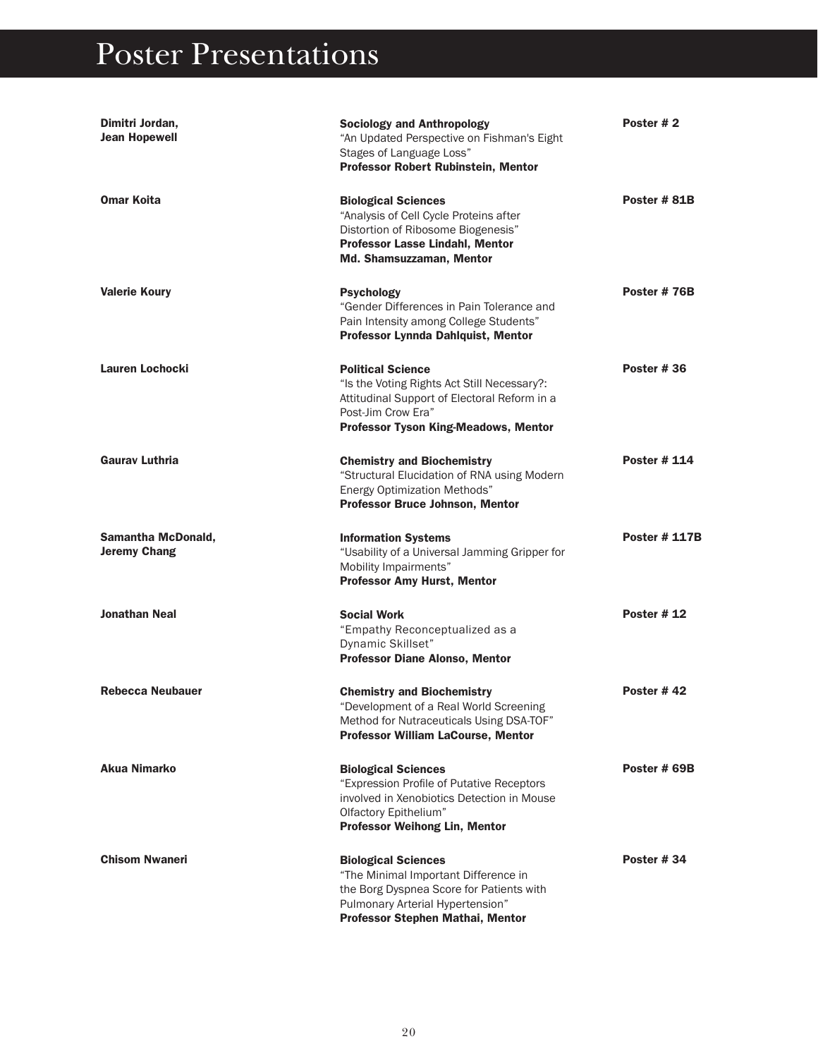| Dimitri Jordan,<br><b>Jean Hopewell</b>          | <b>Sociology and Anthropology</b><br>"An Updated Perspective on Fishman's Eight<br>Stages of Language Loss"<br><b>Professor Robert Rubinstein, Mentor</b>                                    | Poster #2            |
|--------------------------------------------------|----------------------------------------------------------------------------------------------------------------------------------------------------------------------------------------------|----------------------|
| <b>Omar Koita</b>                                | <b>Biological Sciences</b><br>"Analysis of Cell Cycle Proteins after<br>Distortion of Ribosome Biogenesis"<br><b>Professor Lasse Lindahl, Mentor</b><br>Md. Shamsuzzaman, Mentor             | Poster #81B          |
| <b>Valerie Koury</b>                             | <b>Psychology</b><br>"Gender Differences in Pain Tolerance and<br>Pain Intensity among College Students"<br>Professor Lynnda Dahlquist, Mentor                                               | Poster #76B          |
| Lauren Lochocki                                  | <b>Political Science</b><br>"Is the Voting Rights Act Still Necessary?:<br>Attitudinal Support of Electoral Reform in a<br>Post-Jim Crow Era"<br><b>Professor Tyson King-Meadows, Mentor</b> | <b>Poster #36</b>    |
| <b>Gauray Luthria</b>                            | <b>Chemistry and Biochemistry</b><br>"Structural Elucidation of RNA using Modern<br><b>Energy Optimization Methods"</b><br><b>Professor Bruce Johnson, Mentor</b>                            | <b>Poster # 114</b>  |
| <b>Samantha McDonald,</b><br><b>Jeremy Chang</b> | <b>Information Systems</b><br>"Usability of a Universal Jamming Gripper for<br>Mobility Impairments"<br><b>Professor Amy Hurst, Mentor</b>                                                   | <b>Poster # 117B</b> |
| <b>Jonathan Neal</b>                             | <b>Social Work</b><br>"Empathy Reconceptualized as a<br>Dynamic Skillset"<br><b>Professor Diane Alonso, Mentor</b>                                                                           | <b>Poster #12</b>    |
| <b>Rebecca Neubauer</b>                          | <b>Chemistry and Biochemistry</b><br>"Development of a Real World Screening<br>Method for Nutraceuticals Using DSA-TOF"<br><b>Professor William LaCourse, Mentor</b>                         | Poster #42           |
| Akua Nimarko                                     | <b>Biological Sciences</b><br>"Expression Profile of Putative Receptors<br>involved in Xenobiotics Detection in Mouse<br>Olfactory Epithelium"<br><b>Professor Weihong Lin, Mentor</b>       | Poster # 69B         |
| <b>Chisom Nwaneri</b>                            | <b>Biological Sciences</b><br>"The Minimal Important Difference in<br>the Borg Dyspnea Score for Patients with<br>Pulmonary Arterial Hypertension"<br>Professor Stephen Mathai, Mentor       | Poster #34           |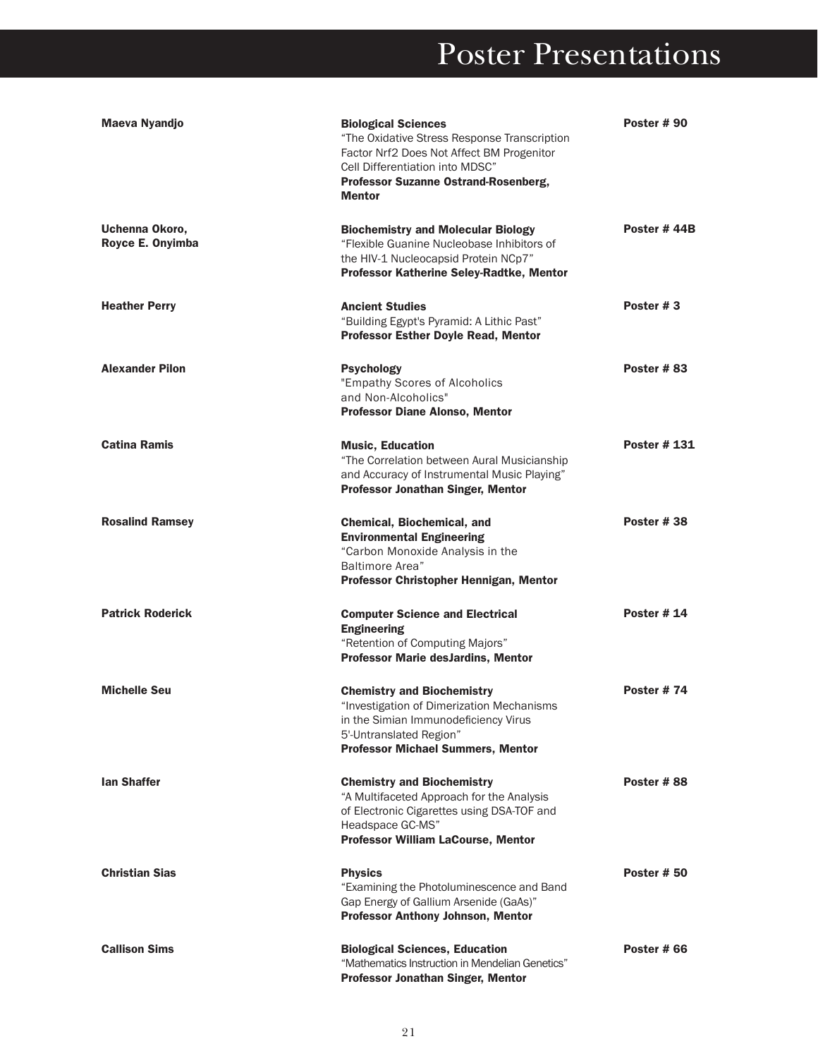| Maeva Nyandjo                      | <b>Biological Sciences</b><br>"The Oxidative Stress Response Transcription<br>Factor Nrf2 Does Not Affect BM Progenitor<br>Cell Differentiation into MDSC"<br>Professor Suzanne Ostrand-Rosenberg,<br><b>Mentor</b> | Poster #90         |
|------------------------------------|---------------------------------------------------------------------------------------------------------------------------------------------------------------------------------------------------------------------|--------------------|
| Uchenna Okoro,<br>Royce E. Onyimba | <b>Biochemistry and Molecular Biology</b><br>"Flexible Guanine Nucleobase Inhibitors of<br>the HIV-1 Nucleocapsid Protein NCp7"<br><b>Professor Katherine Seley-Radtke, Mentor</b>                                  | Poster #44B        |
| <b>Heather Perry</b>               | <b>Ancient Studies</b><br>"Building Egypt's Pyramid: A Lithic Past"<br><b>Professor Esther Doyle Read, Mentor</b>                                                                                                   | Poster #3          |
| <b>Alexander Pilon</b>             | <b>Psychology</b><br>"Empathy Scores of Alcoholics<br>and Non-Alcoholics"<br><b>Professor Diane Alonso, Mentor</b>                                                                                                  | Poster #83         |
| <b>Catina Ramis</b>                | <b>Music, Education</b><br>"The Correlation between Aural Musicianship<br>and Accuracy of Instrumental Music Playing"<br><b>Professor Jonathan Singer, Mentor</b>                                                   | Poster # 131       |
| <b>Rosalind Ramsey</b>             | <b>Chemical, Biochemical, and</b><br><b>Environmental Engineering</b><br>"Carbon Monoxide Analysis in the<br>Baltimore Area"<br>Professor Christopher Hennigan, Mentor                                              | Poster #38         |
| <b>Patrick Roderick</b>            | <b>Computer Science and Electrical</b><br><b>Engineering</b><br>"Retention of Computing Majors"<br><b>Professor Marie desJardins, Mentor</b>                                                                        | <b>Poster # 14</b> |
| <b>Michelle Seu</b>                | <b>Chemistry and Biochemistry</b><br>"Investigation of Dimerization Mechanisms<br>in the Simian Immunodeficiency Virus<br>5'-Untranslated Region"<br><b>Professor Michael Summers, Mentor</b>                       | <b>Poster #74</b>  |
| lan Shaffer                        | <b>Chemistry and Biochemistry</b><br>"A Multifaceted Approach for the Analysis<br>of Electronic Cigarettes using DSA-TOF and<br>Headspace GC-MS"<br>Professor William LaCourse, Mentor                              | Poster #88         |
| <b>Christian Sias</b>              | <b>Physics</b><br>"Examining the Photoluminescence and Band<br>Gap Energy of Gallium Arsenide (GaAs)"<br><b>Professor Anthony Johnson, Mentor</b>                                                                   | Poster #50         |
| <b>Callison Sims</b>               | <b>Biological Sciences, Education</b><br>"Mathematics Instruction in Mendelian Genetics"<br><b>Professor Jonathan Singer, Mentor</b>                                                                                | Poster # 66        |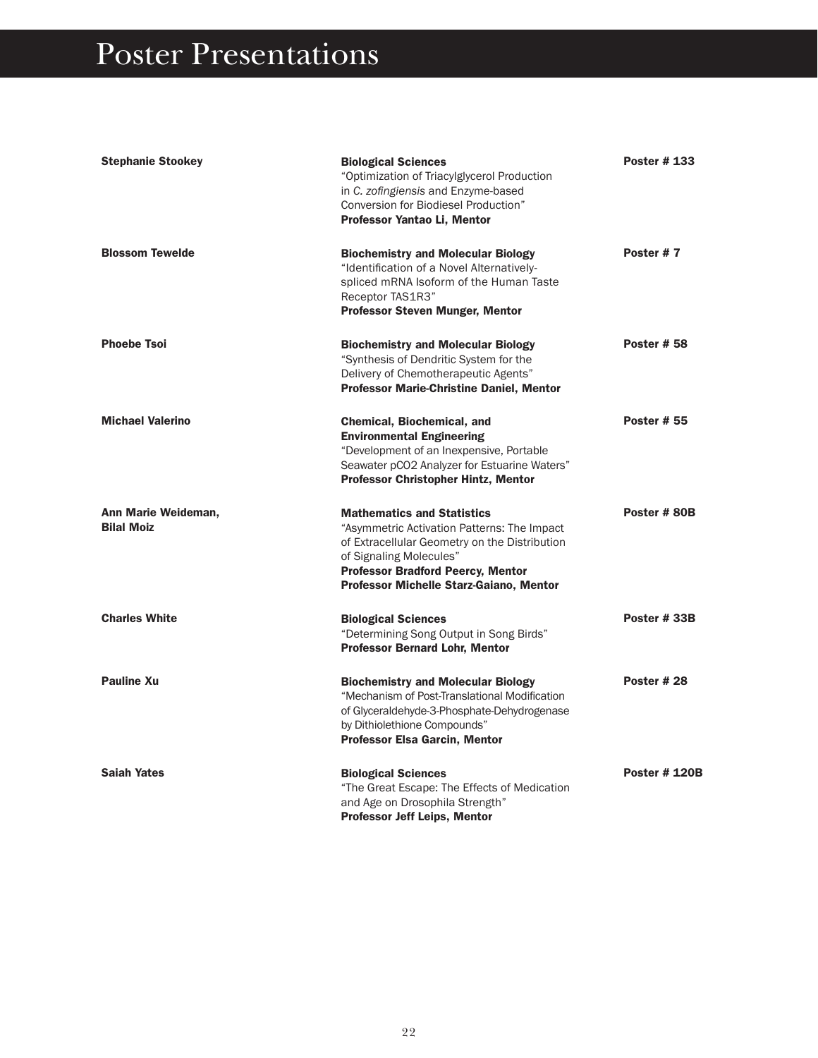| <b>Stephanie Stookey</b>                 | <b>Biological Sciences</b><br>"Optimization of Triacylglycerol Production<br>in C. zofingiensis and Enzyme-based<br>Conversion for Biodiesel Production"<br>Professor Yantao Li, Mentor                                                             | <b>Poster #133</b>   |
|------------------------------------------|-----------------------------------------------------------------------------------------------------------------------------------------------------------------------------------------------------------------------------------------------------|----------------------|
| <b>Blossom Tewelde</b>                   | <b>Biochemistry and Molecular Biology</b><br>"Identification of a Novel Alternatively-<br>spliced mRNA Isoform of the Human Taste<br>Receptor TAS1R3"<br><b>Professor Steven Munger, Mentor</b>                                                     | Poster #7            |
| <b>Phoebe Tsoi</b>                       | <b>Biochemistry and Molecular Biology</b><br>"Synthesis of Dendritic System for the<br>Delivery of Chemotherapeutic Agents"<br><b>Professor Marie-Christine Daniel, Mentor</b>                                                                      | <b>Poster # 58</b>   |
| <b>Michael Valerino</b>                  | <b>Chemical, Biochemical, and</b><br><b>Environmental Engineering</b><br>"Development of an Inexpensive, Portable<br>Seawater pCO2 Analyzer for Estuarine Waters"<br><b>Professor Christopher Hintz, Mentor</b>                                     | <b>Poster # 55</b>   |
| Ann Marie Weideman,<br><b>Bilal Moiz</b> | <b>Mathematics and Statistics</b><br>"Asymmetric Activation Patterns: The Impact<br>of Extracellular Geometry on the Distribution<br>of Signaling Molecules"<br><b>Professor Bradford Peercy, Mentor</b><br>Professor Michelle Starz-Gaiano, Mentor | Poster #80B          |
| <b>Charles White</b>                     | <b>Biological Sciences</b><br>"Determining Song Output in Song Birds"<br><b>Professor Bernard Lohr, Mentor</b>                                                                                                                                      | Poster #33B          |
| <b>Pauline Xu</b>                        | <b>Biochemistry and Molecular Biology</b><br>"Mechanism of Post-Translational Modification<br>of Glyceraldehyde-3-Phosphate-Dehydrogenase<br>by Dithiolethione Compounds"<br><b>Professor Elsa Garcin, Mentor</b>                                   | Poster #28           |
| <b>Saiah Yates</b>                       | <b>Biological Sciences</b><br>"The Great Escape: The Effects of Medication<br>and Age on Drosophila Strength"<br><b>Professor Jeff Leips, Mentor</b>                                                                                                | <b>Poster # 120B</b> |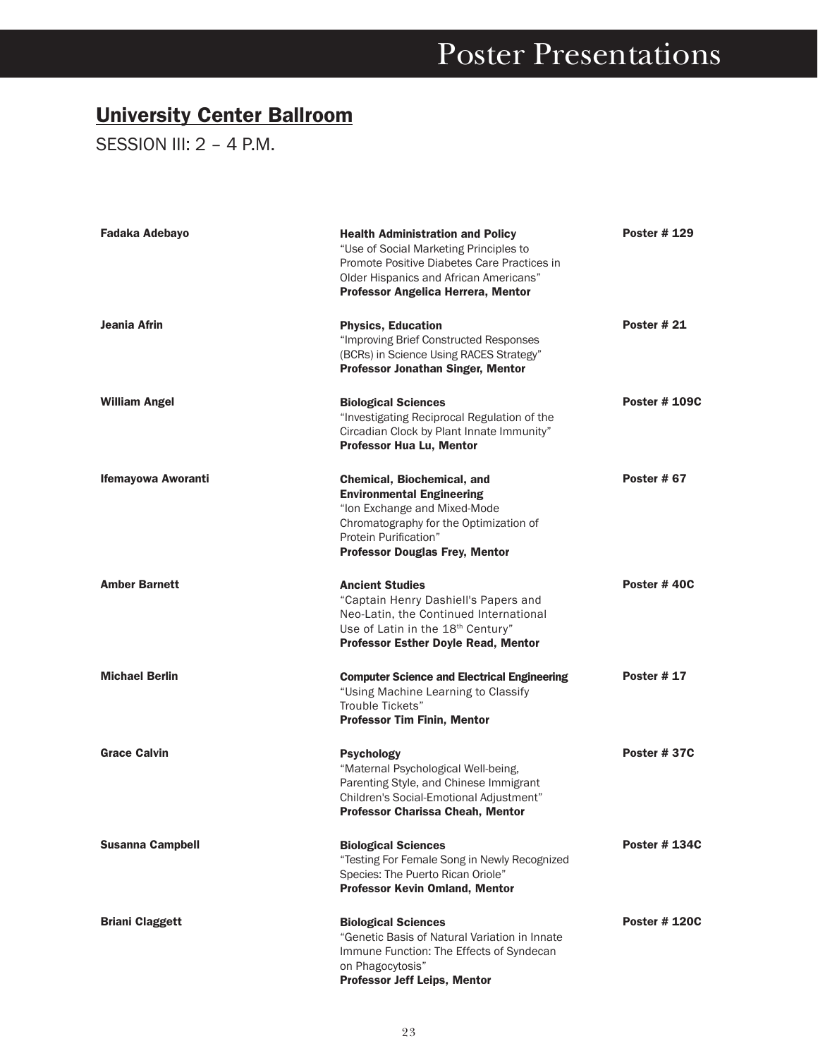#### University Center Ballroom

SESSION III: 2 - 4 P.M.

| <b>Fadaka Adebayo</b>     | <b>Health Administration and Policy</b><br>"Use of Social Marketing Principles to<br>Promote Positive Diabetes Care Practices in<br>Older Hispanics and African Americans"<br>Professor Angelica Herrera, Mentor  | <b>Poster # 129</b>  |
|---------------------------|-------------------------------------------------------------------------------------------------------------------------------------------------------------------------------------------------------------------|----------------------|
| Jeania Afrin              | <b>Physics, Education</b><br>"Improving Brief Constructed Responses<br>(BCRs) in Science Using RACES Strategy"<br><b>Professor Jonathan Singer, Mentor</b>                                                        | <b>Poster # 21</b>   |
| <b>William Angel</b>      | <b>Biological Sciences</b><br>"Investigating Reciprocal Regulation of the<br>Circadian Clock by Plant Innate Immunity"<br>Professor Hua Lu, Mentor                                                                | <b>Poster # 109C</b> |
| <b>Ifemayowa Aworanti</b> | <b>Chemical, Biochemical, and</b><br><b>Environmental Engineering</b><br>"Ion Exchange and Mixed-Mode<br>Chromatography for the Optimization of<br>Protein Purification"<br><b>Professor Douglas Frey, Mentor</b> | Poster #67           |
| <b>Amber Barnett</b>      | <b>Ancient Studies</b><br>"Captain Henry Dashiell's Papers and<br>Neo-Latin, the Continued International<br>Use of Latin in the 18th Century"<br><b>Professor Esther Doyle Read, Mentor</b>                       | Poster #40C          |
| <b>Michael Berlin</b>     | <b>Computer Science and Electrical Engineering</b><br>"Using Machine Learning to Classify<br>Trouble Tickets"<br><b>Professor Tim Finin, Mentor</b>                                                               | <b>Poster #17</b>    |
| <b>Grace Calvin</b>       | <b>Psychology</b><br>"Maternal Psychological Well-being,<br>Parenting Style, and Chinese Immigrant<br>Children's Social-Emotional Adjustment"<br><b>Professor Charissa Cheah, Mentor</b>                          | Poster #37C          |
| <b>Susanna Campbell</b>   | <b>Biological Sciences</b><br>"Testing For Female Song in Newly Recognized<br>Species: The Puerto Rican Oriole"<br><b>Professor Kevin Omland, Mentor</b>                                                          | <b>Poster # 134C</b> |
| <b>Briani Claggett</b>    | <b>Biological Sciences</b><br>"Genetic Basis of Natural Variation in Innate<br>Immune Function: The Effects of Syndecan<br>on Phagocytosis"<br><b>Professor Jeff Leips, Mentor</b>                                | <b>Poster # 120C</b> |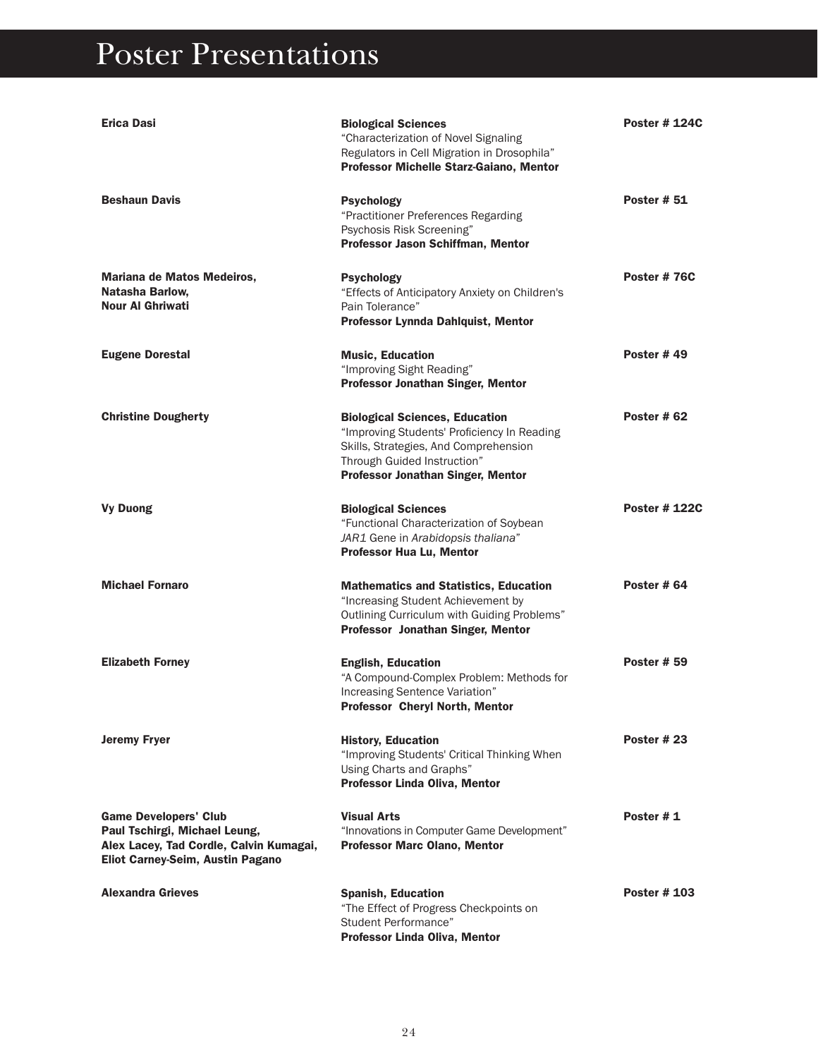| <b>Erica Dasi</b>                                                                                                                            | <b>Biological Sciences</b><br>"Characterization of Novel Signaling<br>Regulators in Cell Migration in Drosophila"<br>Professor Michelle Starz-Gaiano, Mentor                                             | <b>Poster # 124C</b> |
|----------------------------------------------------------------------------------------------------------------------------------------------|----------------------------------------------------------------------------------------------------------------------------------------------------------------------------------------------------------|----------------------|
| <b>Beshaun Davis</b>                                                                                                                         | <b>Psychology</b><br>"Practitioner Preferences Regarding<br>Psychosis Risk Screening"<br>Professor Jason Schiffman, Mentor                                                                               | <b>Poster # 51</b>   |
| Mariana de Matos Medeiros,<br>Natasha Barlow,<br><b>Nour AI Ghriwati</b>                                                                     | Psychology<br>"Effects of Anticipatory Anxiety on Children's<br>Pain Tolerance"<br>Professor Lynnda Dahlquist, Mentor                                                                                    | Poster #76C          |
| <b>Eugene Dorestal</b>                                                                                                                       | <b>Music, Education</b><br>"Improving Sight Reading"<br>Professor Jonathan Singer, Mentor                                                                                                                | <b>Poster #49</b>    |
| <b>Christine Dougherty</b>                                                                                                                   | <b>Biological Sciences, Education</b><br>"Improving Students' Proficiency In Reading<br>Skills, Strategies, And Comprehension<br>Through Guided Instruction"<br><b>Professor Jonathan Singer, Mentor</b> | <b>Poster # 62</b>   |
| <b>Vy Duong</b>                                                                                                                              | <b>Biological Sciences</b><br>"Functional Characterization of Soybean<br>JAR1 Gene in Arabidopsis thaliana"<br><b>Professor Hua Lu, Mentor</b>                                                           | <b>Poster # 122C</b> |
| <b>Michael Fornaro</b>                                                                                                                       | <b>Mathematics and Statistics, Education</b><br>"Increasing Student Achievement by<br>Outlining Curriculum with Guiding Problems"<br>Professor Jonathan Singer, Mentor                                   | Poster #64           |
| <b>Elizabeth Forney</b>                                                                                                                      | <b>English, Education</b><br>"A Compound-Complex Problem: Methods for<br>Increasing Sentence Variation"<br><b>Professor Cheryl North, Mentor</b>                                                         | <b>Poster # 59</b>   |
| <b>Jeremy Fryer</b>                                                                                                                          | <b>History, Education</b><br>"Improving Students' Critical Thinking When<br>Using Charts and Graphs"<br>Professor Linda Oliva, Mentor                                                                    | Poster # 23          |
| <b>Game Developers' Club</b><br>Paul Tschirgi, Michael Leung,<br>Alex Lacey, Tad Cordle, Calvin Kumagai,<br>Eliot Carney-Seim, Austin Pagano | <b>Visual Arts</b><br>"Innovations in Computer Game Development"<br><b>Professor Marc Olano, Mentor</b>                                                                                                  | Poster #1            |
| <b>Alexandra Grieves</b>                                                                                                                     | <b>Spanish, Education</b><br>"The Effect of Progress Checkpoints on<br>Student Performance"<br>Professor Linda Oliva, Mentor                                                                             | <b>Poster # 103</b>  |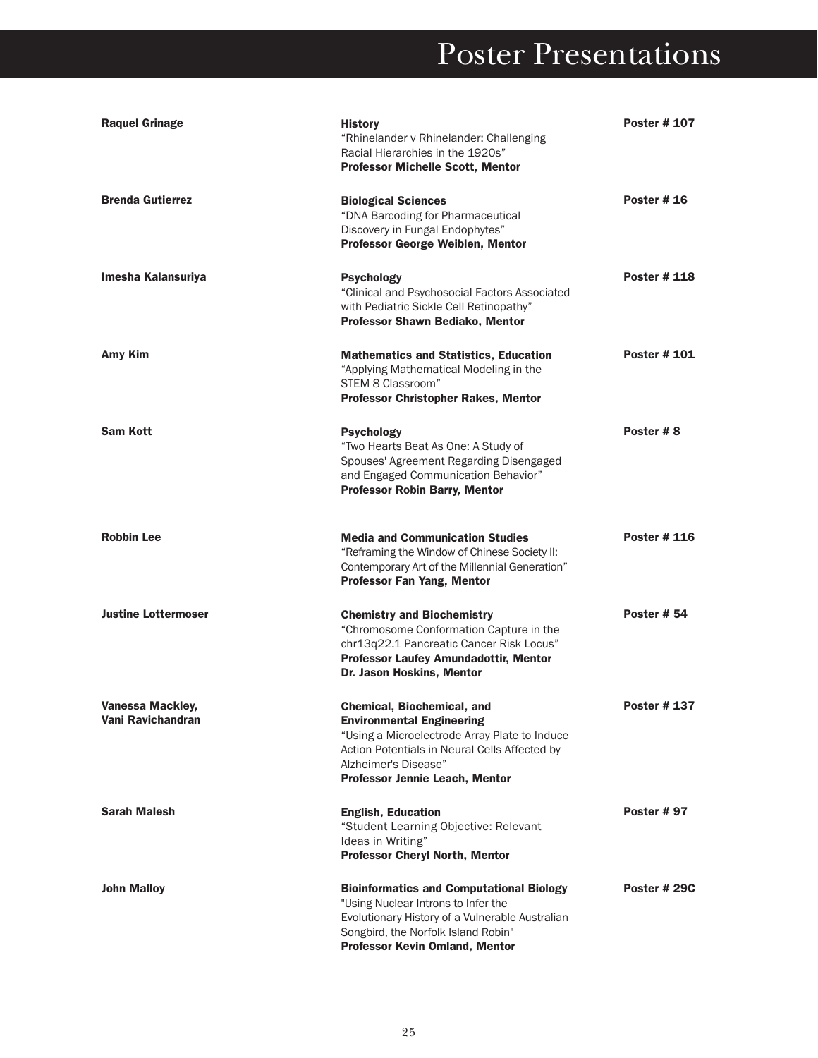| <b>Raquel Grinage</b>                        | <b>History</b><br>"Rhinelander v Rhinelander: Challenging<br>Racial Hierarchies in the 1920s"<br><b>Professor Michelle Scott, Mentor</b>                                                                                          | <b>Poster # 107</b> |
|----------------------------------------------|-----------------------------------------------------------------------------------------------------------------------------------------------------------------------------------------------------------------------------------|---------------------|
| <b>Brenda Gutierrez</b>                      | <b>Biological Sciences</b><br>"DNA Barcoding for Pharmaceutical<br>Discovery in Fungal Endophytes"<br>Professor George Weiblen, Mentor                                                                                            | <b>Poster # 16</b>  |
| Imesha Kalansuriya                           | <b>Psychology</b><br>"Clinical and Psychosocial Factors Associated<br>with Pediatric Sickle Cell Retinopathy"<br>Professor Shawn Bediako, Mentor                                                                                  | <b>Poster # 118</b> |
| <b>Amy Kim</b>                               | <b>Mathematics and Statistics, Education</b><br>"Applying Mathematical Modeling in the<br>STEM 8 Classroom"<br><b>Professor Christopher Rakes, Mentor</b>                                                                         | <b>Poster #101</b>  |
| <b>Sam Kott</b>                              | <b>Psychology</b><br>"Two Hearts Beat As One: A Study of<br>Spouses' Agreement Regarding Disengaged<br>and Engaged Communication Behavior"<br><b>Professor Robin Barry, Mentor</b>                                                | Poster # 8          |
| <b>Robbin Lee</b>                            | <b>Media and Communication Studies</b><br>"Reframing the Window of Chinese Society II:<br>Contemporary Art of the Millennial Generation"<br>Professor Fan Yang, Mentor                                                            | <b>Poster # 116</b> |
| <b>Justine Lottermoser</b>                   | <b>Chemistry and Biochemistry</b><br>"Chromosome Conformation Capture in the<br>chr13q22.1 Pancreatic Cancer Risk Locus"<br><b>Professor Laufey Amundadottir, Mentor</b><br>Dr. Jason Hoskins, Mentor                             | <b>Poster # 54</b>  |
| <b>Vanessa Mackley,</b><br>Vani Ravichandran | <b>Chemical, Biochemical, and</b><br><b>Environmental Engineering</b><br>"Using a Microelectrode Array Plate to Induce<br>Action Potentials in Neural Cells Affected by<br>Alzheimer's Disease"<br>Professor Jennie Leach, Mentor | <b>Poster #137</b>  |
| <b>Sarah Malesh</b>                          | <b>English, Education</b><br>"Student Learning Objective: Relevant<br>Ideas in Writing"<br>Professor Cheryl North, Mentor                                                                                                         | <b>Poster #97</b>   |
| <b>John Malloy</b>                           | <b>Bioinformatics and Computational Biology</b><br>"Using Nuclear Introns to Infer the<br>Evolutionary History of a Vulnerable Australian<br>Songbird, the Norfolk Island Robin"<br><b>Professor Kevin Omland, Mentor</b>         | Poster # 29C        |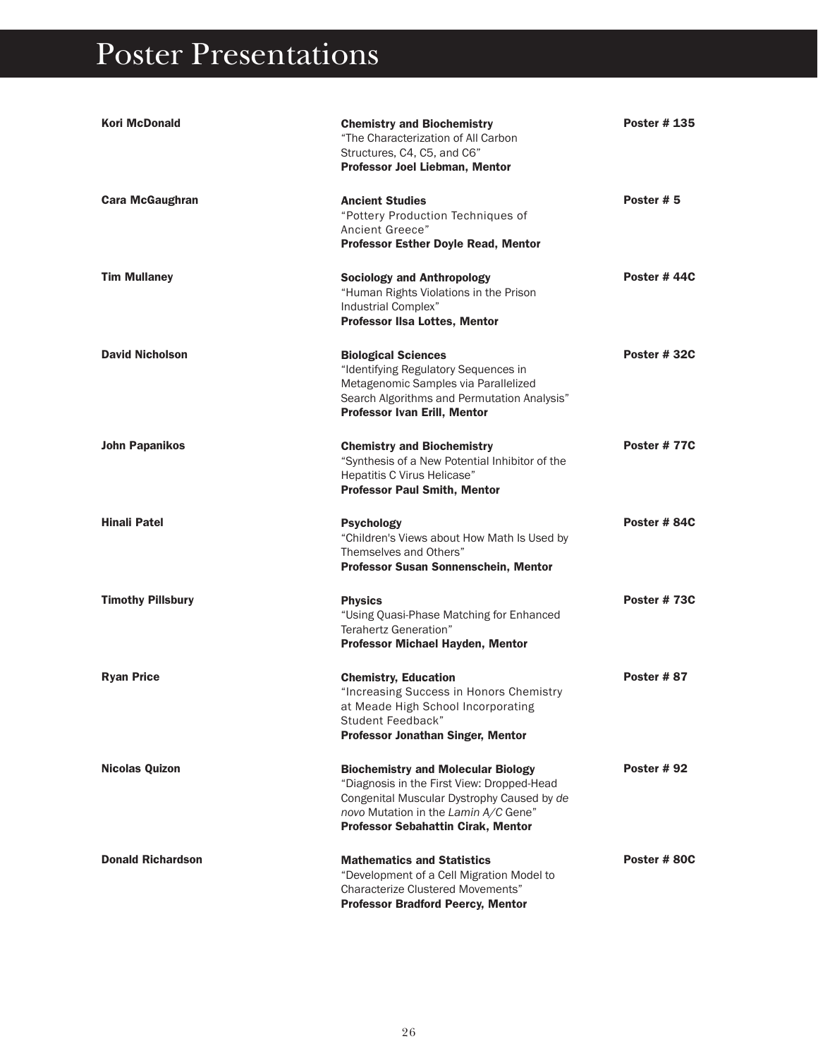| <b>Kori McDonald</b>     | <b>Chemistry and Biochemistry</b><br>"The Characterization of All Carbon<br>Structures, C4, C5, and C6"<br>Professor Joel Liebman, Mentor                                                                                  | <b>Poster #135</b> |
|--------------------------|----------------------------------------------------------------------------------------------------------------------------------------------------------------------------------------------------------------------------|--------------------|
| <b>Cara McGaughran</b>   | <b>Ancient Studies</b><br>"Pottery Production Techniques of<br>Ancient Greece"<br><b>Professor Esther Doyle Read, Mentor</b>                                                                                               | Poster #5          |
| <b>Tim Mullaney</b>      | <b>Sociology and Anthropology</b><br>"Human Rights Violations in the Prison<br>Industrial Complex"<br><b>Professor IIsa Lottes, Mentor</b>                                                                                 | Poster #44C        |
| <b>David Nicholson</b>   | <b>Biological Sciences</b><br>"Identifying Regulatory Sequences in<br>Metagenomic Samples via Parallelized<br>Search Algorithms and Permutation Analysis"<br><b>Professor Ivan Erill, Mentor</b>                           | Poster #32C        |
| <b>John Papanikos</b>    | <b>Chemistry and Biochemistry</b><br>"Synthesis of a New Potential Inhibitor of the<br>Hepatitis C Virus Helicase"<br><b>Professor Paul Smith, Mentor</b>                                                                  | Poster #77C        |
| <b>Hinali Patel</b>      | <b>Psychology</b><br>"Children's Views about How Math Is Used by<br>Themselves and Others"<br>Professor Susan Sonnenschein, Mentor                                                                                         | Poster #84C        |
| <b>Timothy Pillsbury</b> | <b>Physics</b><br>"Using Quasi-Phase Matching for Enhanced<br>Terahertz Generation"<br>Professor Michael Hayden, Mentor                                                                                                    | Poster #73C        |
| <b>Ryan Price</b>        | <b>Chemistry, Education</b><br>"Increasing Success in Honors Chemistry<br>at Meade High School Incorporating<br>Student Feedback"<br><b>Professor Jonathan Singer, Mentor</b>                                              | Poster #87         |
| <b>Nicolas Quizon</b>    | <b>Biochemistry and Molecular Biology</b><br>"Diagnosis in the First View: Dropped-Head<br>Congenital Muscular Dystrophy Caused by de<br>novo Mutation in the Lamin A/C Gene"<br><b>Professor Sebahattin Cirak, Mentor</b> | <b>Poster #92</b>  |
| <b>Donald Richardson</b> | <b>Mathematics and Statistics</b><br>"Development of a Cell Migration Model to<br><b>Characterize Clustered Movements"</b><br><b>Professor Bradford Peercy, Mentor</b>                                                     | Poster #80C        |